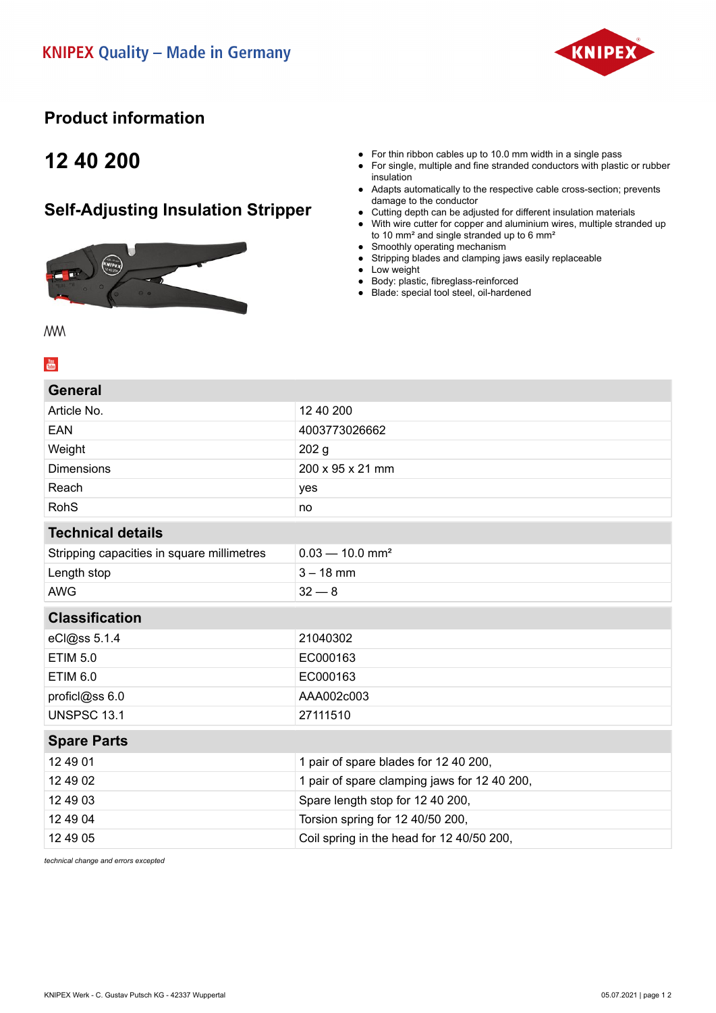

### **Product information**

## **12 40 200**

### **Self-Adjusting Insulation Stripper**



- For thin ribbon cables up to 10.0 mm width in a single pass
- For single, multiple and fine stranded conductors with plastic or rubber insulation
- Adapts automatically to the respective cable cross-section; prevents damage to the conductor
- Cutting depth can be adjusted for different insulation materials
- With wire cutter for copper and aluminium wires, multiple stranded up to 10 mm² and single stranded up to 6 mm²
- Smoothly operating mechanism
- Stripping blades and clamping jaws easily replaceable
- Low weight
- Body: plastic, fibreglass-reinforced
- Blade: special tool steel, oil-hardened

**MW**  $\frac{You}{f(t)}$ 

#### **General**

| Article No.                                | 12 40 200                                    |
|--------------------------------------------|----------------------------------------------|
| <b>EAN</b>                                 | 4003773026662                                |
| Weight                                     | 202 <sub>g</sub>                             |
| <b>Dimensions</b>                          | 200 x 95 x 21 mm                             |
| Reach                                      | yes                                          |
| <b>RohS</b>                                | no                                           |
| <b>Technical details</b>                   |                                              |
| Stripping capacities in square millimetres | $0.03 - 10.0$ mm <sup>2</sup>                |
| Length stop                                | $3 - 18$ mm                                  |
| <b>AWG</b>                                 | $32 - 8$                                     |
| <b>Classification</b>                      |                                              |
| eCl@ss 5.1.4                               | 21040302                                     |
| <b>ETIM 5.0</b>                            | EC000163                                     |
| <b>ETIM 6.0</b>                            | EC000163                                     |
| proficl@ss 6.0                             | AAA002c003                                   |
| <b>UNSPSC 13.1</b>                         | 27111510                                     |
| <b>Spare Parts</b>                         |                                              |
| 12 49 01                                   | 1 pair of spare blades for 12 40 200,        |
| 12 49 02                                   | 1 pair of spare clamping jaws for 12 40 200, |
| 12 49 03                                   | Spare length stop for 12 40 200,             |
| 12 49 04                                   | Torsion spring for 12 40/50 200,             |
| 12 49 05                                   | Coil spring in the head for 12 40/50 200,    |
|                                            |                                              |

*technical change and errors excepted*